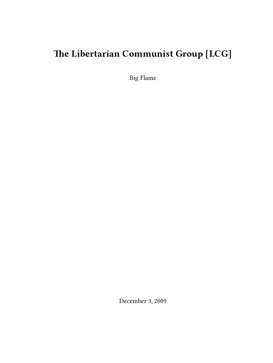# **The Libertarian Communist Group [LCG]**

Big Flame

December 3, 2009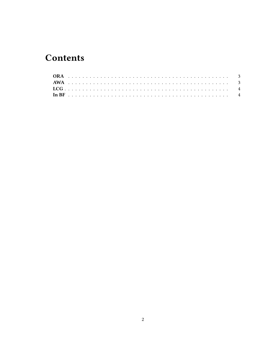## **Contents**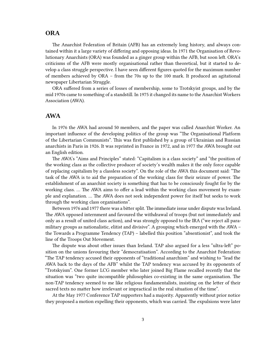### <span id="page-2-0"></span>**ORA**

The Anarchist Federation of Britain (AFB) has an extremely long history, and always contained within it a large variety of differing and opposing ideas. In 1971 the Organisation of Revolutionary Anarchists (ORA) was founded as a ginger group within the AFB, but soon left. ORA's criticisms of the AFB were mostly organisational rather than theoretical, but it started to develop a class struggle perspective. I have seen different figures quoted for the maximum number of members achieved by ORA – from the 70s up to the 100 mark. It produced an agitational newspaper Libertarian Struggle.

ORA suffered from a series of losses of membership, some to Trotskyist groups, and by the mid 1970s came to something of a standstill. In 1975 it changed its name to the Anarchist Workers Association (AWA).

#### <span id="page-2-1"></span>**AWA**

In 1976 the AWA had around 50 members, and the paper was called Anarchist Worker. An important influence of the developing politics of the group was "The Organisational Platform of the Libertarian Communists". This was first published by a group of Ukrainian and Russian anarchists in Paris in 1926. It was reprinted in France in 1972, and in 1977 the AWA brought out an English edition.

The AWA's "Aims and Principles" stated: "Capitalism is a class society" and "the position of the working class as the collective producer of society's wealth makes it the only force capable of replacing capitalism by a classless society". On the role of the AWA this document said: "The task of the AWA is to aid the preparation of the working class for their seizure of power. The establishment of an anarchist society is something that has to be consciously fought for by the working class. … The AWA aims to offer a lead within the working class movement by example and explanation. … The AWA does not seek independent power for itself but seeks to work through the working class organisations".

Between 1976 and 1977 there was a bitter split. The immediate issue under dispute was Ireland. The AWA opposed internment and favoured the withdrawal of troops (but not immediately and only as a result of united class action), and was strongly opposed to the IRA ("we reject all paramilitary groups as nationalistic, elitist and divisive". A grouping which emerged with the AWA – the Towards a Programme Tendency (TAP) – labelled this position "absentionist", and took the line of the Troops Out Movement.

The dispute was about other issues than Ireland. TAP also argued for a less "ultra-left" position on the unions favouring their "democratisation". According to the Anarchist Federation: "The TAP tendency accused their opponents of "traditional anarchism" and wishing to "lead the AWA back to the days of the AFB" whilst the TAP tendency was accused by its opponents of "Trotskyism". One former LCG member who later joined Big Flame recalled recently that the situation was "two quite incompatible philosophies co-existing in the same organisation. The non-TAP tendency seemed to me like religious fundamentalists, insisting on the letter of their sacred texts no matter how irrelevant or impractical in the real situation of the time".

At the May 1977 Conference TAP supporters had a majority. Apparently without prior notice they proposed a motion expelling their opponents, which was carried. The expulsions were later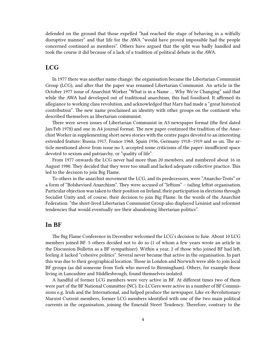defended on the ground that those expelled "had reached the stage of behaving in a wilfully disruptive manner" and that life for the AWA "would have proved impossible had the people concerned continued as members". Others have argued that the split was badly handled and took the course it did because of a lack of a tradition of political debate in the AWA.

#### <span id="page-3-0"></span>**LCG**

In 1977 there was another name change: the organisation became the Libertarian Communist Group (LCG), and after that the paper was renamed Libertarian Communist. An article in the October 1977 issue of Anarchist Worker "What is in a Name … Why We're Changing" said that while the AWA had developed out of traditional anarchism, this had fossilised. It affirmed its allegiance to working class revolution, and acknowledged that Marx had made a "great historical contribution". The new name proclaimed an identity with other groups on the continent who described themselves as libertarian communist.

There were seven issues of Libertarian Communist in A3 newspaper format (the first dated Jan/Feb 1978) and one in A4 journal format. The new paper continued the tradition of the Anarchist Worker in supplementing short news stories with the centre pages devoted to an interesting extended feature: Russia 1917, France 1968, Spain 1936, Germany 1918–1919 and so on. The article mentioned above from issue no 3, accepted some criticisms of the paper: insufficient space devoted to sexism and patriarchy, or "quality of life".

From 1977 onwards the LCG never had more than 20 members, and numbered about 16 in August 1980. They decided that they were too small and lacked adequate collective practice. This led to the decision to join Big Flame.

To others in the anarchist movement the LCG, and its predecessors, were "Anarcho-Trots" or a form of "Bolshevised Anarchism". They were accused of "leftism" – tailing leftist organisation. Particular objection was taken to their position on Ireland, their participation in elections through Socialist Unity and, of course, their decision to join Big Flame. In the words of the Anarchist Federation: "the short-lived Libertarian Communist Group also displayed Leninist and reformist tendencies that would eventually see their abandoning libertarian politics".

#### <span id="page-3-1"></span>**In BF**

The Big Flame Conference in December welcomed the LCG's decision to fuse. About 10 LCG members joined BF. 5 others decided not to do so (1 of whom a few years wrote an article in the Discussion Bulletin as a BF sympathiser). Within a year, 2 of those who joined BF had left, feeling it lacked "cohesive politics". Several never became that active in the organisation. In part this was due to their geographical location. Those in London and Norwich were able to join local BF groups (as did someone from York who moved to Birmingham). Others, for example those living in Lancashire and Middlesbrough, found themselves isolated.

A handful of former LCG members were very active in BF. At different times two of them were part of the BF National Committee (NC). Ex-LCGers were active in a number of BF Commissions e.g. Irish and the International, and helped produce the newspaper. Like ex-Revolutionary Marxist Current members, former LCG members identified with one of the two main political currents in the organisation, joining the Emerald Street Tendency. Therefore, contrary to the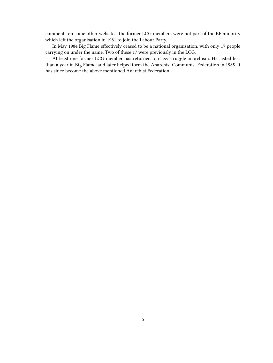comments on some other websites, the former LCG members were not part of the BF minority which left the organisation in 1981 to join the Labour Party.

In May 1984 Big Flame effectively ceased to be a national organisation, with only 17 people carrying on under the name. Two of these 17 were previously in the LCG.

At least one former LCG member has returned to class struggle anarchism. He lasted less than a year in Big Flame, and later helped form the Anarchist Communist Federation in 1985. It has since become the above mentioned Anarchist Federation.